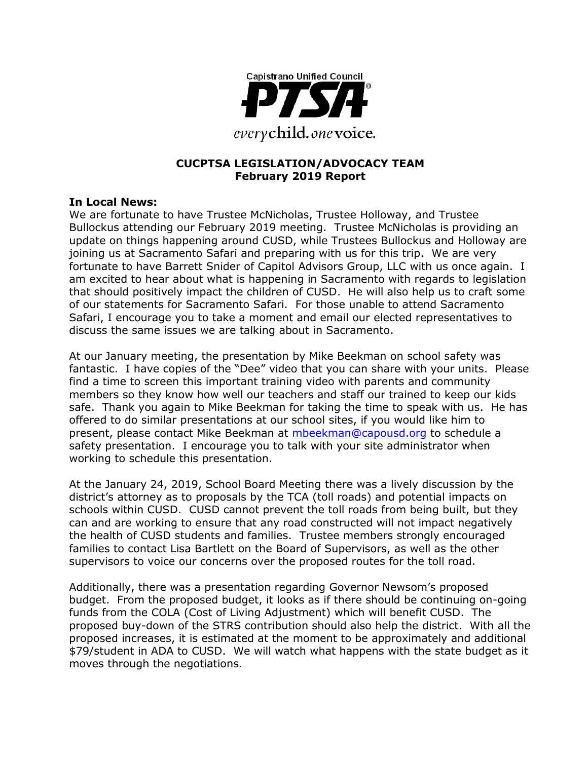

## **CUCPTSA LEGISLATION/ADVOCACY TEAM February 2019 Report**

#### **In Local News:**

We are fortunate to have Trustee McNicholas, Trustee Holloway, and Trustee Bullockus attending our February 2019 meeting. Trustee McNicholas is providing an update on things happening around CUSD, while Trustees Bullockus and Holloway are joining us at Sacramento Safari and preparing with us for this trip. We are very fortunate to have Barrett Snider of Capitol Advisors Group, LLC with us once again. I am excited to hear about what is happening in Sacramento with regards to legislation that should positively impact the children of CUSD. He will also help us to craft some of our statements for Sacramento Safari. For those unable to attend Sacramento Safari, I encourage you to take a moment and email our elected representatives to discuss the same issues we are talking about in Sacramento.

At our January meeting, the presentation by Mike Beekman on school safety was fantastic. I have copies of the "Dee" video that you can share with your units. Please find a time to screen this important training video with parents and community members so they know how well our teachers and staff our trained to keep our kids safe. Thank you again to Mike Beekman for taking the time to speak with us. He has offered to do similar presentations at our school sites, if you would like him to present, please contact Mike Beekman at [mbeekman@capousd.org](mailto:mbeekman@capousd.org) to schedule a safety presentation. I encourage you to talk with your site administrator when working to schedule this presentation.

At the January 24, 2019, School Board Meeting there was a lively discussion by the district's attorney as to proposals by the TCA (toll roads) and potential impacts on schools within CUSD. CUSD cannot prevent the toll roads from being built, but they can and are working to ensure that any road constructed will not impact negatively the health of CUSD students and families. Trustee members strongly encouraged families to contact Lisa Bartlett on the Board of Supervisors, as well as the other supervisors to voice our concerns over the proposed routes for the toll road.

Additionally, there was a presentation regarding Governor Newsom's proposed budget. From the proposed budget, it looks as if there should be continuing on-going funds from the COLA (Cost of Living Adjustment) which will benefit CUSD. The proposed buy-down of the STRS contribution should also help the district. With all the proposed increases, it is estimated at the moment to be approximately and additional \$79/student in ADA to CUSD. We will watch what happens with the state budget as it moves through the negotiations.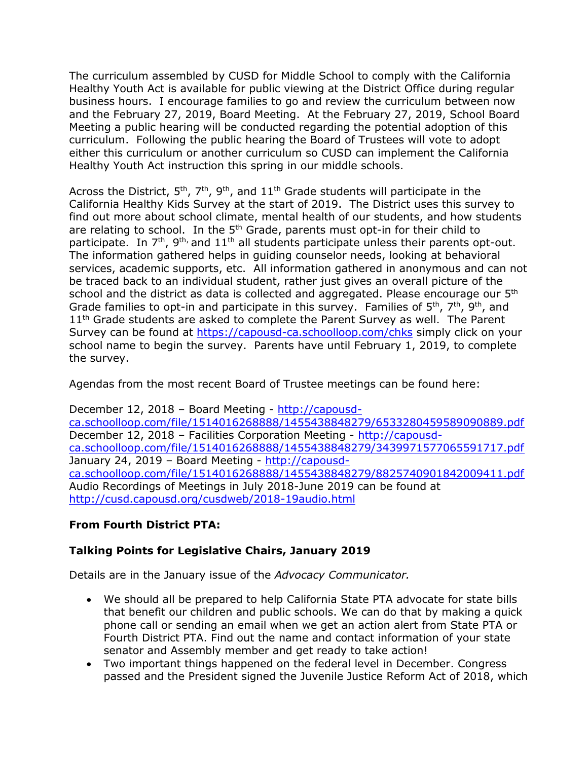The curriculum assembled by CUSD for Middle School to comply with the California Healthy Youth Act is available for public viewing at the District Office during regular business hours. I encourage families to go and review the curriculum between now and the February 27, 2019, Board Meeting. At the February 27, 2019, School Board Meeting a public hearing will be conducted regarding the potential adoption of this curriculum. Following the public hearing the Board of Trustees will vote to adopt either this curriculum or another curriculum so CUSD can implement the California Healthy Youth Act instruction this spring in our middle schools.

Across the District,  $5<sup>th</sup>$ ,  $7<sup>th</sup>$ ,  $9<sup>th</sup>$ , and  $11<sup>th</sup>$  Grade students will participate in the California Healthy Kids Survey at the start of 2019. The District uses this survey to find out more about school climate, mental health of our students, and how students are relating to school. In the 5<sup>th</sup> Grade, parents must opt-in for their child to participate. In  $7<sup>th</sup>$ ,  $9<sup>th</sup>$ , and  $11<sup>th</sup>$  all students participate unless their parents opt-out. The information gathered helps in guiding counselor needs, looking at behavioral services, academic supports, etc. All information gathered in anonymous and can not be traced back to an individual student, rather just gives an overall picture of the school and the district as data is collected and aggregated. Please encourage our  $5<sup>th</sup>$ Grade families to opt-in and participate in this survey. Families of  $5<sup>th</sup>$ ,  $7<sup>th</sup>$ ,  $9<sup>th</sup>$ , and 11<sup>th</sup> Grade students are asked to complete the Parent Survey as well. The Parent Survey can be found at<https://capousd-ca.schoolloop.com/chks> simply click on your school name to begin the survey. Parents have until February 1, 2019, to complete the survey.

Agendas from the most recent Board of Trustee meetings can be found here:

December 12, 2018 – Board Meeting - [http://capousd](http://capousd-ca.schoolloop.com/file/1514016268888/1455438848279/6533280459589090889.pdf)[ca.schoolloop.com/file/1514016268888/1455438848279/6533280459589090889.pdf](http://capousd-ca.schoolloop.com/file/1514016268888/1455438848279/6533280459589090889.pdf) December 12, 2018 – Facilities Corporation Meeting - [http://capousd](http://capousd-ca.schoolloop.com/file/1514016268888/1455438848279/3439971577065591717.pdf)[ca.schoolloop.com/file/1514016268888/1455438848279/3439971577065591717.pdf](http://capousd-ca.schoolloop.com/file/1514016268888/1455438848279/3439971577065591717.pdf) January 24, 2019 – Board Meeting - [http://capousd](http://capousd-ca.schoolloop.com/file/1514016268888/1455438848279/8825740901842009411.pdf)[ca.schoolloop.com/file/1514016268888/1455438848279/8825740901842009411.pdf](http://capousd-ca.schoolloop.com/file/1514016268888/1455438848279/8825740901842009411.pdf) Audio Recordings of Meetings in July 2018-June 2019 can be found at <http://cusd.capousd.org/cusdweb/2018-19audio.html>

# **From Fourth District PTA:**

## **Talking Points for Legislative Chairs, January 2019**

Details are in the January issue of the *Advocacy Communicator.*

- We should all be prepared to help California State PTA advocate for state bills that benefit our children and public schools. We can do that by making a quick phone call or sending an email when we get an action alert from State PTA or Fourth District PTA. Find out the name and contact information of your state senator and Assembly member and get ready to take action!
- Two important things happened on the federal level in December. Congress passed and the President signed the Juvenile Justice Reform Act of 2018, which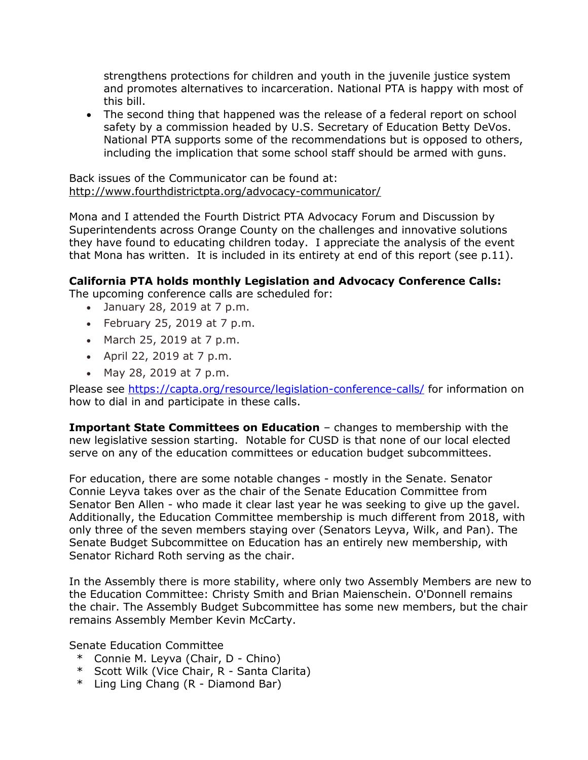strengthens protections for children and youth in the juvenile justice system and promotes alternatives to incarceration. National PTA is happy with most of this bill.

• The second thing that happened was the release of a federal report on school safety by a commission headed by U.S. Secretary of Education Betty DeVos. National PTA supports some of the recommendations but is opposed to others, including the implication that some school staff should be armed with guns.

Back issues of the Communicator can be found at: <http://www.fourthdistrictpta.org/advocacy-communicator/>

Mona and I attended the Fourth District PTA Advocacy Forum and Discussion by Superintendents across Orange County on the challenges and innovative solutions they have found to educating children today. I appreciate the analysis of the event that Mona has written. It is included in its entirety at end of this report (see p.11).

## **California PTA holds monthly Legislation and Advocacy Conference Calls:**

The upcoming conference calls are scheduled for:

- January 28, 2019 at 7 p.m.
- February 25, 2019 at  $7$  p.m.
- March 25, 2019 at 7 p.m.
- April 22, 2019 at 7 p.m.
- May 28, 2019 at 7 p.m.

Please see<https://capta.org/resource/legislation-conference-calls/> for information on how to dial in and participate in these calls.

**Important State Committees on Education** – changes to membership with the new legislative session starting. Notable for CUSD is that none of our local elected serve on any of the education committees or education budget subcommittees.

For education, there are some notable changes - mostly in the Senate. Senator Connie Leyva takes over as the chair of the Senate Education Committee from Senator Ben Allen - who made it clear last year he was seeking to give up the gavel. Additionally, the Education Committee membership is much different from 2018, with only three of the seven members staying over (Senators Leyva, Wilk, and Pan). The Senate Budget Subcommittee on Education has an entirely new membership, with Senator Richard Roth serving as the chair.

In the Assembly there is more stability, where only two Assembly Members are new to the Education Committee: Christy Smith and Brian Maienschein. O'Donnell remains the chair. The Assembly Budget Subcommittee has some new members, but the chair remains Assembly Member Kevin McCarty.

Senate Education Committee

- \* Connie M. Leyva (Chair, D Chino)
- \* Scott Wilk (Vice Chair, R Santa Clarita)
- \* Ling Ling Chang (R Diamond Bar)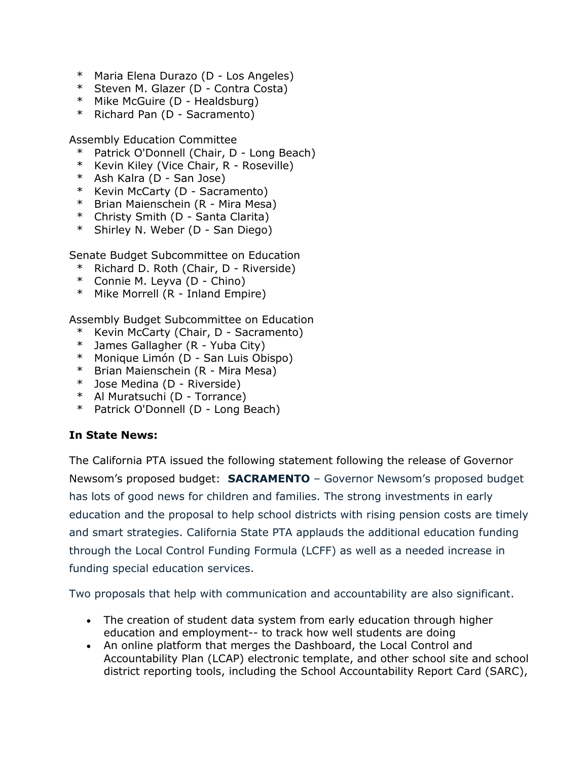- \* Maria Elena Durazo (D Los Angeles)
- \* Steven M. Glazer (D Contra Costa)
- \* Mike McGuire (D Healdsburg)
- \* Richard Pan (D Sacramento)

Assembly Education Committee

- \* Patrick O'Donnell (Chair, D Long Beach)
- \* Kevin Kiley (Vice Chair, R Roseville)
- \* Ash Kalra (D San Jose)
- \* Kevin McCarty (D Sacramento)
- \* Brian Maienschein (R Mira Mesa)
- \* Christy Smith (D Santa Clarita)
- \* Shirley N. Weber (D San Diego)

Senate Budget Subcommittee on Education

- \* Richard D. Roth (Chair, D Riverside)
- \* Connie M. Leyva (D Chino)
- \* Mike Morrell (R Inland Empire)

Assembly Budget Subcommittee on Education

- \* Kevin McCarty (Chair, D Sacramento)
- \* James Gallagher (R Yuba City)
- \* Monique Limón (D San Luis Obispo)
- \* Brian Maienschein (R Mira Mesa)
- \* Jose Medina (D Riverside)
- \* Al Muratsuchi (D Torrance)
- \* Patrick O'Donnell (D Long Beach)

# **In State News:**

The California PTA issued the following statement following the release of Governor Newsom's proposed budget: **SACRAMENTO** – Governor Newsom's proposed budget has lots of good news for children and families. The strong investments in early education and the proposal to help school districts with rising pension costs are timely and smart strategies. California State PTA applauds the additional education funding through the Local Control Funding Formula (LCFF) as well as a needed increase in funding special education services.

Two proposals that help with communication and accountability are also significant.

- The creation of student data system from early education through higher education and employment-- to track how well students are doing
- An online platform that merges the Dashboard, the Local Control and Accountability Plan (LCAP) electronic template, and other school site and school district reporting tools, including the School Accountability Report Card (SARC),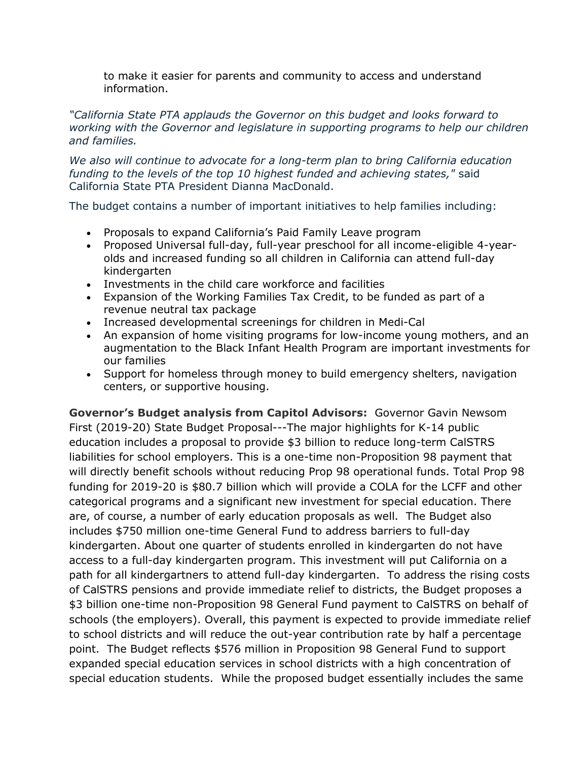to make it easier for parents and community to access and understand information.

## *"California State PTA applauds the Governor on this budget and looks forward to working with the Governor and legislature in supporting programs to help our children and families.*

*We also will continue to advocate for a long-term plan to bring California education funding to the levels of the top 10 highest funded and achieving states,"* said California State PTA President Dianna MacDonald.

The budget contains a number of important initiatives to help families including:

- Proposals to expand California's Paid Family Leave program
- Proposed Universal full-day, full-year preschool for all income-eligible 4-yearolds and increased funding so all children in California can attend full-day kindergarten
- Investments in the child care workforce and facilities
- Expansion of the Working Families Tax Credit, to be funded as part of a revenue neutral tax package
- Increased developmental screenings for children in Medi-Cal
- An expansion of home visiting programs for low-income young mothers, and an augmentation to the Black Infant Health Program are important investments for our families
- Support for homeless through money to build emergency shelters, navigation centers, or supportive housing.

**Governor's Budget analysis from Capitol Advisors:** Governor Gavin Newsom First (2019-20) State Budget Proposal---The major highlights for K-14 public education includes a proposal to provide \$3 billion to reduce long-term CalSTRS liabilities for school employers. This is a one-time non-Proposition 98 payment that will directly benefit schools without reducing Prop 98 operational funds. Total Prop 98 funding for 2019-20 is \$80.7 billion which will provide a COLA for the LCFF and other categorical programs and a significant new investment for special education. There are, of course, a number of early education proposals as well. The Budget also includes \$750 million one-time General Fund to address barriers to full-day kindergarten. About one quarter of students enrolled in kindergarten do not have access to a full-day kindergarten program. This investment will put California on a path for all kindergartners to attend full-day kindergarten. To address the rising costs of CalSTRS pensions and provide immediate relief to districts, the Budget proposes a \$3 billion one-time non-Proposition 98 General Fund payment to CalSTRS on behalf of schools (the employers). Overall, this payment is expected to provide immediate relief to school districts and will reduce the out-year contribution rate by half a percentage point. The Budget reflects \$576 million in Proposition 98 General Fund to support expanded special education services in school districts with a high concentration of special education students. While the proposed budget essentially includes the same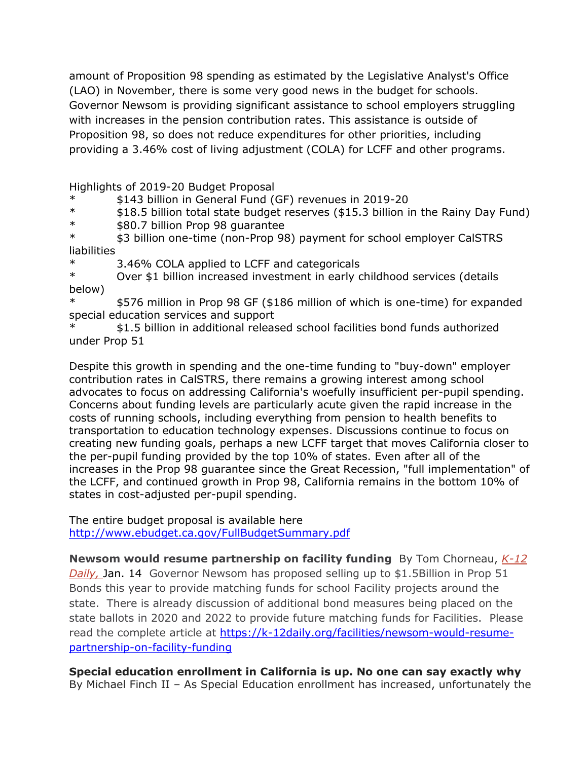amount of Proposition 98 spending as estimated by the Legislative Analyst's Office (LAO) in November, there is some very good news in the budget for schools. Governor Newsom is providing significant assistance to school employers struggling with increases in the pension contribution rates. This assistance is outside of Proposition 98, so does not reduce expenditures for other priorities, including providing a 3.46% cost of living adjustment (COLA) for LCFF and other programs.

Highlights of 2019-20 Budget Proposal

- \* \$143 billion in General Fund (GF) revenues in 2019-20
- $*$  \$18.5 billion total state budget reserves (\$15.3 billion in the Rainy Day Fund)<br> $*$  \$80.7 billion Pron 98 quarantee
- \* \$80.7 billion Prop 98 guarantee

\* \$3 billion one-time (non-Prop 98) payment for school employer CalSTRS **liabilities** 

3.46% COLA applied to LCFF and categoricals

\* Over \$1 billion increased investment in early childhood services (details below)

\* \$576 million in Prop 98 GF (\$186 million of which is one-time) for expanded special education services and support

\$1.5 billion in additional released school facilities bond funds authorized under Prop 51

Despite this growth in spending and the one-time funding to "buy-down" employer contribution rates in CalSTRS, there remains a growing interest among school advocates to focus on addressing California's woefully insufficient per-pupil spending. Concerns about funding levels are particularly acute given the rapid increase in the costs of running schools, including everything from pension to health benefits to transportation to education technology expenses. Discussions continue to focus on creating new funding goals, perhaps a new LCFF target that moves California closer to the per-pupil funding provided by the top 10% of states. Even after all of the increases in the Prop 98 guarantee since the Great Recession, "full implementation" of the LCFF, and continued growth in Prop 98, California remains in the bottom 10% of states in cost-adjusted per-pupil spending.

The entire budget proposal is available here <http://www.ebudget.ca.gov/FullBudgetSummary.pdf>

**Newsom would resume partnership on facility funding** By Tom Chorneau, *[K-12](http://r20.rs6.net/tn.jsp?f=001b6sJt-fbBLfU1xGSkMC3KVz9hmjjDf2kQ0sw4pG5IwSYYUKeuwI35piNXWo1dndJCCvGed5aJrfCU_FEDPqq9FPRopcdG7CB8p1A9uRlXFYpn1CM_Lp__fBd5utNjnQP3-fCtjNSEJv-ftfgjXfjKDRmeQNs87WJ0m6nbDAnwumHGicCmvJLjxNBezkOTIWADz2_-gBiyuBKzphpXTrh-ul64gA-cef8&c=E3cM3RRFdVycDBVl1Q-xUhC8p2dMWjyNu0qxfPKFs4hismFVcAchPQ==&ch=UvEJHo9MEDJEJck9l3cNBqzr7SXtlidSRLY-AP9z3UkjTpK3hxp7Ow==)  [Daily,](http://r20.rs6.net/tn.jsp?f=001b6sJt-fbBLfU1xGSkMC3KVz9hmjjDf2kQ0sw4pG5IwSYYUKeuwI35piNXWo1dndJCCvGed5aJrfCU_FEDPqq9FPRopcdG7CB8p1A9uRlXFYpn1CM_Lp__fBd5utNjnQP3-fCtjNSEJv-ftfgjXfjKDRmeQNs87WJ0m6nbDAnwumHGicCmvJLjxNBezkOTIWADz2_-gBiyuBKzphpXTrh-ul64gA-cef8&c=E3cM3RRFdVycDBVl1Q-xUhC8p2dMWjyNu0qxfPKFs4hismFVcAchPQ==&ch=UvEJHo9MEDJEJck9l3cNBqzr7SXtlidSRLY-AP9z3UkjTpK3hxp7Ow==)* Jan. 14 Governor Newsom has proposed selling up to \$1.5Billion in Prop 51 Bonds this year to provide matching funds for school Facility projects around the state. There is already discussion of additional bond measures being placed on the state ballots in 2020 and 2022 to provide future matching funds for Facilities. Please read the complete article at [https://k-12daily.org/facilities/newsom-would-resume](https://k-12daily.org/facilities/newsom-would-resume-partnership-on-facility-funding)[partnership-on-facility-funding](https://k-12daily.org/facilities/newsom-would-resume-partnership-on-facility-funding)

**Special education enrollment in California is up. No one can say exactly why** By Michael Finch II – As Special Education enrollment has increased, unfortunately the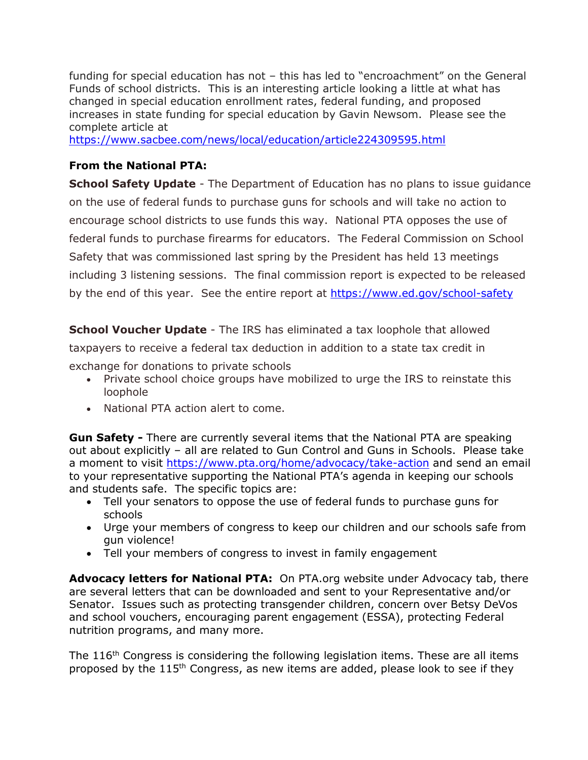funding for special education has not – this has led to "encroachment" on the General Funds of school districts. This is an interesting article looking a little at what has changed in special education enrollment rates, federal funding, and proposed increases in state funding for special education by Gavin Newsom. Please see the complete article at

<https://www.sacbee.com/news/local/education/article224309595.html>

## **From the National PTA:**

**School Safety Update** - The Department of Education has no plans to issue guidance on the use of federal funds to purchase guns for schools and will take no action to encourage school districts to use funds this way. National PTA opposes the use of federal funds to purchase firearms for educators. The Federal Commission on School Safety that was commissioned last spring by the President has held 13 meetings including 3 listening sessions. The final commission report is expected to be released by the end of this year. See the entire report at<https://www.ed.gov/school-safety>

**School Voucher Update** - The IRS has eliminated a tax loophole that allowed taxpayers to receive a federal tax deduction in addition to a state tax credit in exchange for donations to private schools

- Private school choice groups have mobilized to urge the IRS to reinstate this loophole
- National PTA action alert to come.

**Gun Safety -** There are currently several items that the National PTA are speaking out about explicitly – all are related to Gun Control and Guns in Schools. Please take a moment to visit <https://www.pta.org/home/advocacy/take-action> and send an email to your representative supporting the National PTA's agenda in keeping our schools and students safe. The specific topics are:

- Tell your senators to oppose the use of federal funds to purchase guns for schools
- Urge your members of congress to keep our children and our schools safe from gun violence!
- Tell your members of congress to invest in family engagement

**Advocacy letters for National PTA:** On PTA.org website under Advocacy tab, there are several letters that can be downloaded and sent to your Representative and/or Senator. Issues such as protecting transgender children, concern over Betsy DeVos and school vouchers, encouraging parent engagement (ESSA), protecting Federal nutrition programs, and many more.

The 116<sup>th</sup> Congress is considering the following legislation items. These are all items proposed by the 115th Congress, as new items are added, please look to see if they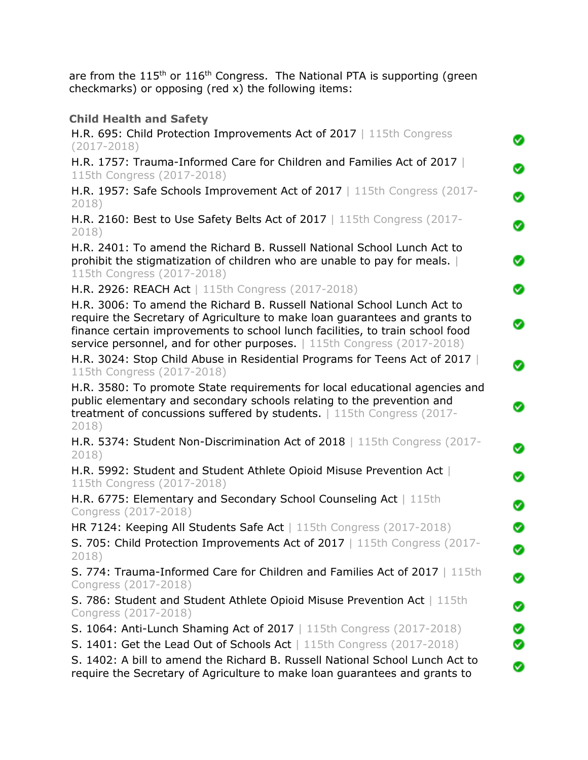are from the 115<sup>th</sup> or 116<sup>th</sup> Congress. The National PTA is supporting (green checkmarks) or opposing (red x) the following items:

| <b>Child Health and Safety</b>                                                                                                                                                                                                                                                                                         |
|------------------------------------------------------------------------------------------------------------------------------------------------------------------------------------------------------------------------------------------------------------------------------------------------------------------------|
| H.R. 695: Child Protection Improvements Act of 2017   115th Congress<br>◙<br>$(2017 - 2018)$                                                                                                                                                                                                                           |
| H.R. 1757: Trauma-Informed Care for Children and Families Act of 2017<br>Ø<br>115th Congress (2017-2018)                                                                                                                                                                                                               |
| H.R. 1957: Safe Schools Improvement Act of 2017   115th Congress (2017-<br>Ø<br>2018)                                                                                                                                                                                                                                  |
| H.R. 2160: Best to Use Safety Belts Act of 2017   115th Congress (2017-<br>◙<br>2018)                                                                                                                                                                                                                                  |
| H.R. 2401: To amend the Richard B. Russell National School Lunch Act to<br>prohibit the stigmatization of children who are unable to pay for meals.<br>Ø<br>115th Congress (2017-2018)                                                                                                                                 |
| Ø<br>H.R. 2926: REACH Act   115th Congress (2017-2018)                                                                                                                                                                                                                                                                 |
| H.R. 3006: To amend the Richard B. Russell National School Lunch Act to<br>require the Secretary of Agriculture to make loan guarantees and grants to<br>◙<br>finance certain improvements to school lunch facilities, to train school food<br>service personnel, and for other purposes.   115th Congress (2017-2018) |
| H.R. 3024: Stop Child Abuse in Residential Programs for Teens Act of 2017<br>Ø<br>115th Congress (2017-2018)                                                                                                                                                                                                           |
| H.R. 3580: To promote State requirements for local educational agencies and<br>public elementary and secondary schools relating to the prevention and<br>Ø<br>treatment of concussions suffered by students.   115th Congress (2017-<br>2018)                                                                          |
| H.R. 5374: Student Non-Discrimination Act of 2018   115th Congress (2017-<br>Ø<br>2018)                                                                                                                                                                                                                                |
| H.R. 5992: Student and Student Athlete Opioid Misuse Prevention Act<br>Ø<br>115th Congress (2017-2018)                                                                                                                                                                                                                 |
| H.R. 6775: Elementary and Secondary School Counseling Act   115th<br>Ø<br>Congress (2017-2018)                                                                                                                                                                                                                         |
| HR 7124: Keeping All Students Safe Act   115th Congress (2017-2018)<br>Ø                                                                                                                                                                                                                                               |
| S. 705: Child Protection Improvements Act of 2017   115th Congress (2017-<br>Ø<br>2018)                                                                                                                                                                                                                                |
| S. 774: Trauma-Informed Care for Children and Families Act of 2017   115th<br>Ø<br>Congress (2017-2018)                                                                                                                                                                                                                |
| S. 786: Student and Student Athlete Opioid Misuse Prevention Act   115th<br>Ø<br>Congress (2017-2018)                                                                                                                                                                                                                  |
| S. 1064: Anti-Lunch Shaming Act of 2017   115th Congress (2017-2018)<br>◙                                                                                                                                                                                                                                              |
| <b>S. 1401: Get the Lead Out of Schools Act</b>   115th Congress (2017-2018)<br>Ø                                                                                                                                                                                                                                      |
| S. 1402: A bill to amend the Richard B. Russell National School Lunch Act to<br>Ø<br>require the Secretary of Agriculture to make loan guarantees and grants to                                                                                                                                                        |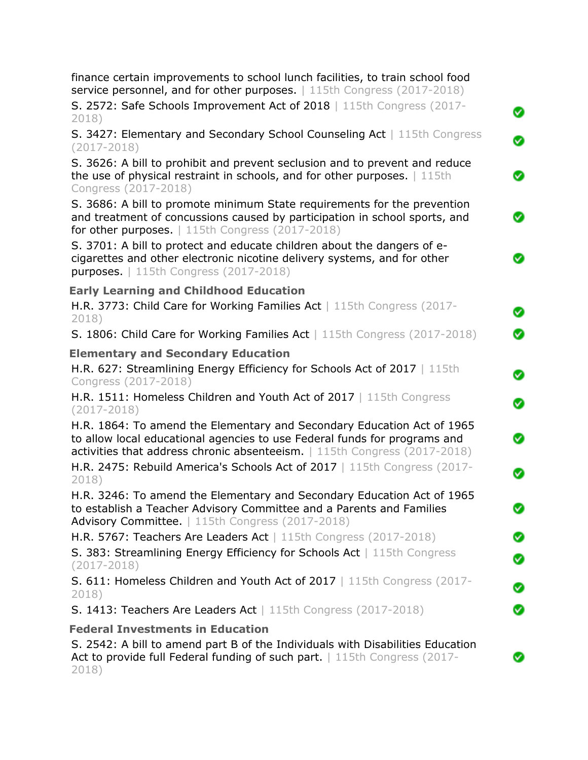| finance certain improvements to school lunch facilities, to train school food<br>service personnel, and for other purposes.   115th Congress (2017-2018)                                                                         |
|----------------------------------------------------------------------------------------------------------------------------------------------------------------------------------------------------------------------------------|
| S. 2572: Safe Schools Improvement Act of 2018   115th Congress (2017-<br>2018)                                                                                                                                                   |
| S. 3427: Elementary and Secondary School Counseling Act   115th Congress<br>$(2017 - 2018)$                                                                                                                                      |
| S. 3626: A bill to prohibit and prevent seclusion and to prevent and reduce<br>the use of physical restraint in schools, and for other purposes. $\vert$ 115th<br>Congress (2017-2018)                                           |
| S. 3686: A bill to promote minimum State requirements for the prevention<br>and treatment of concussions caused by participation in school sports, and<br>for other purposes.   115th Congress (2017-2018)                       |
| S. 3701: A bill to protect and educate children about the dangers of e-<br>cigarettes and other electronic nicotine delivery systems, and for other<br><b>purposes.</b>   115th Congress (2017-2018)                             |
| <b>Early Learning and Childhood Education</b>                                                                                                                                                                                    |
| H.R. 3773: Child Care for Working Families Act   115th Congress (2017-<br>2018)                                                                                                                                                  |
| S. 1806: Child Care for Working Families Act   115th Congress (2017-2018)                                                                                                                                                        |
| <b>Elementary and Secondary Education</b><br>H.R. 627: Streamlining Energy Efficiency for Schools Act of 2017   115th<br>Congress (2017-2018)                                                                                    |
| H.R. 1511: Homeless Children and Youth Act of 2017   115th Congress<br>$(2017 - 2018)$                                                                                                                                           |
| H.R. 1864: To amend the Elementary and Secondary Education Act of 1965<br>to allow local educational agencies to use Federal funds for programs and<br>activities that address chronic absenteeism.   115th Congress (2017-2018) |
| H.R. 2475: Rebuild America's Schools Act of 2017   115th Congress (2017-<br>2018)                                                                                                                                                |
| H.R. 3246: To amend the Elementary and Secondary Education Act of 1965<br>to establish a Teacher Advisory Committee and a Parents and Families<br>Advisory Committee.   115th Congress (2017-2018)                               |
| H.R. 5767: Teachers Are Leaders Act   115th Congress (2017-2018)                                                                                                                                                                 |
| S. 383: Streamlining Energy Efficiency for Schools Act   115th Congress<br>$(2017 - 2018)$                                                                                                                                       |
| S. 611: Homeless Children and Youth Act of 2017   115th Congress (2017-<br>2018)                                                                                                                                                 |
| S. 1413: Teachers Are Leaders Act   115th Congress (2017-2018)                                                                                                                                                                   |
| <b>Federal Investments in Education</b>                                                                                                                                                                                          |
| S. 2542: A bill to amend part B of the Individuals with Disabilities Education<br>Act to provide full Federal funding of such part.   115th Congress (2017-<br>2018)                                                             |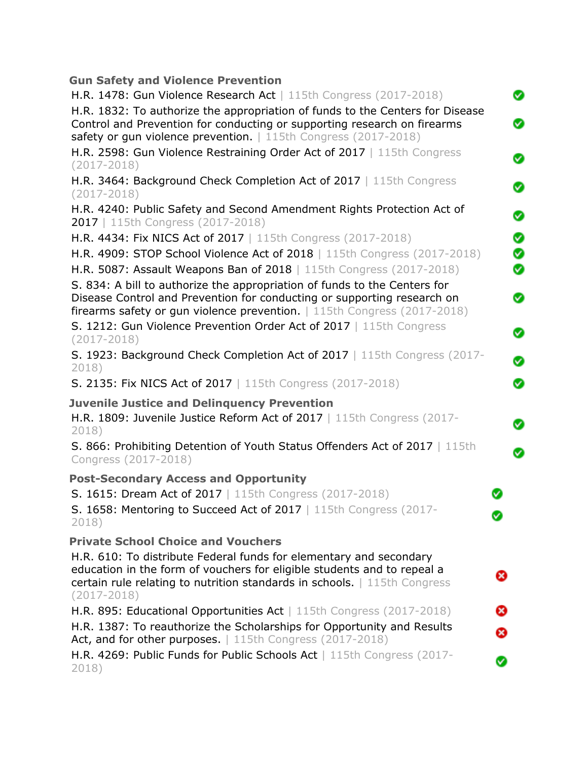| <b>Gun Safety and Violence Prevention</b>                                                                                                                                                                                        |   |
|----------------------------------------------------------------------------------------------------------------------------------------------------------------------------------------------------------------------------------|---|
| H.R. 1478: Gun Violence Research Act   115th Congress $(2017 - 2018)$                                                                                                                                                            | Ø |
| H.R. 1832: To authorize the appropriation of funds to the Centers for Disease<br>Control and Prevention for conducting or supporting research on firearms<br>safety or gun violence prevention.   115th Congress (2017-2018)     | ◙ |
| H.R. 2598: Gun Violence Restraining Order Act of 2017   115th Congress<br>$(2017 - 2018)$                                                                                                                                        | Ø |
| H.R. 3464: Background Check Completion Act of 2017   115th Congress<br>$(2017 - 2018)$                                                                                                                                           | Ø |
| H.R. 4240: Public Safety and Second Amendment Rights Protection Act of<br>2017   115th Congress (2017-2018)                                                                                                                      | Ø |
| H.R. 4434: Fix NICS Act of 2017   115th Congress (2017-2018)                                                                                                                                                                     | Ø |
| H.R. 4909: STOP School Violence Act of 2018   115th Congress (2017-2018)                                                                                                                                                         | Ø |
| H.R. 5087: Assault Weapons Ban of 2018   115th Congress (2017-2018)                                                                                                                                                              | Ø |
| S. 834: A bill to authorize the appropriation of funds to the Centers for<br>Disease Control and Prevention for conducting or supporting research on<br>firearms safety or gun violence prevention.   115th Congress (2017-2018) | ◙ |
| S. 1212: Gun Violence Prevention Order Act of 2017   115th Congress<br>$(2017 - 2018)$                                                                                                                                           | Ø |
| S. 1923: Background Check Completion Act of 2017   115th Congress (2017-<br>2018)                                                                                                                                                | Ø |
| S. 2135: Fix NICS Act of 2017   115th Congress (2017-2018)                                                                                                                                                                       | Ø |
| <b>Juvenile Justice and Delinguency Prevention</b><br>H.R. 1809: Juvenile Justice Reform Act of $2017$   115th Congress (2017-<br>2018)                                                                                          | Ø |
| S. 866: Prohibiting Detention of Youth Status Offenders Act of 2017   115th<br>Congress (2017-2018)                                                                                                                              | Ø |
| <b>Post-Secondary Access and Opportunity</b>                                                                                                                                                                                     |   |
| S. 1615: Dream Act of 2017   115th Congress (2017-2018)                                                                                                                                                                          |   |
| S. 1658: Mentoring to Succeed Act of 2017   115th Congress (2017-<br>2018)                                                                                                                                                       |   |
| <b>Private School Choice and Vouchers</b>                                                                                                                                                                                        |   |
| H.R. 610: To distribute Federal funds for elementary and secondary<br>education in the form of vouchers for eligible students and to repeal a                                                                                    |   |
| certain rule relating to nutrition standards in schools.   115th Congress<br>$(2017 - 2018)$                                                                                                                                     | ⊗ |
| H.R. 895: Educational Opportunities Act   115th Congress (2017-2018)                                                                                                                                                             | ఴ |
| H.R. 1387: To reauthorize the Scholarships for Opportunity and Results                                                                                                                                                           | ⊗ |
| Act, and for other purposes.   115th Congress (2017-2018)                                                                                                                                                                        |   |
| H.R. 4269: Public Funds for Public Schools Act   115th Congress (2017-<br>2018)                                                                                                                                                  | Ø |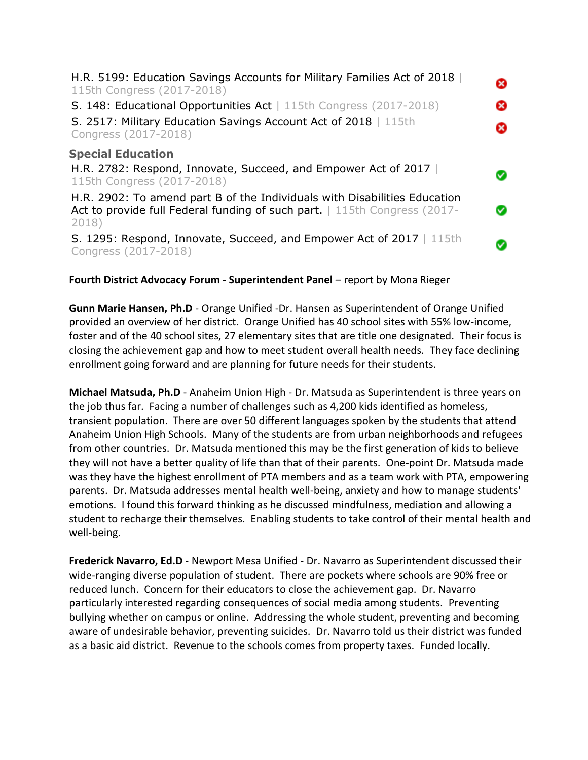| H.R. 5199: Education Savings Accounts for Military Families Act of 2018<br>115th Congress (2017-2018)<br>S. 148: Educational Opportunities Act   115th Congress (2017-2018)<br>S. 2517: Military Education Savings Account Act of 2018   115th<br>Congress (2017-2018) | Ø<br>Ø<br>æ |
|------------------------------------------------------------------------------------------------------------------------------------------------------------------------------------------------------------------------------------------------------------------------|-------------|
| <b>Special Education</b><br>H.R. 2782: Respond, Innovate, Succeed, and Empower Act of 2017<br>115th Congress (2017-2018)                                                                                                                                               |             |
| H.R. 2902: To amend part B of the Individuals with Disabilities Education<br>Act to provide full Federal funding of such part.   115th Congress (2017-<br>2018)                                                                                                        |             |
| S. 1295: Respond, Innovate, Succeed, and Empower Act of 2017   115th<br>Congress (2017-2018)                                                                                                                                                                           |             |

### **Fourth District Advocacy Forum - Superintendent Panel** – report by Mona Rieger

**Gunn Marie Hansen, Ph.D** - Orange Unified -Dr. Hansen as Superintendent of Orange Unified provided an overview of her district. Orange Unified has 40 school sites with 55% low-income, foster and of the 40 school sites, 27 elementary sites that are title one designated. Their focus is closing the achievement gap and how to meet student overall health needs. They face declining enrollment going forward and are planning for future needs for their students.

**Michael Matsuda, Ph.D** - Anaheim Union High - Dr. Matsuda as Superintendent is three years on the job thus far. Facing a number of challenges such as 4,200 kids identified as homeless, transient population. There are over 50 different languages spoken by the students that attend Anaheim Union High Schools. Many of the students are from urban neighborhoods and refugees from other countries. Dr. Matsuda mentioned this may be the first generation of kids to believe they will not have a better quality of life than that of their parents. One-point Dr. Matsuda made was they have the highest enrollment of PTA members and as a team work with PTA, empowering parents. Dr. Matsuda addresses mental health well-being, anxiety and how to manage students' emotions. I found this forward thinking as he discussed mindfulness, mediation and allowing a student to recharge their themselves. Enabling students to take control of their mental health and well-being.

**Frederick Navarro, Ed.D** - Newport Mesa Unified - Dr. Navarro as Superintendent discussed their wide-ranging diverse population of student. There are pockets where schools are 90% free or reduced lunch. Concern for their educators to close the achievement gap. Dr. Navarro particularly interested regarding consequences of social media among students. Preventing bullying whether on campus or online. Addressing the whole student, preventing and becoming aware of undesirable behavior, preventing suicides. Dr. Navarro told us their district was funded as a basic aid district. Revenue to the schools comes from property taxes. Funded locally.